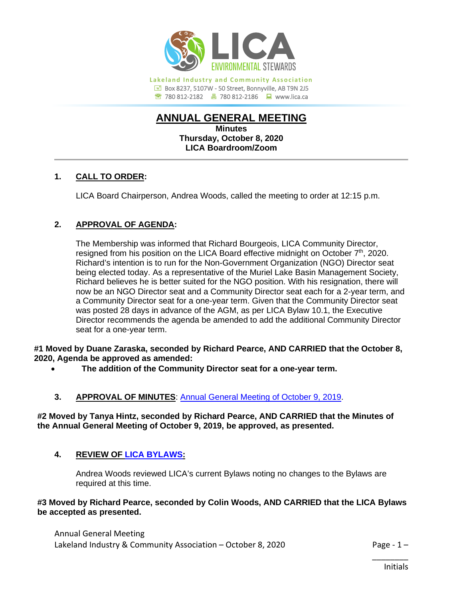

**Lakeland Industry and Community Association Box 8237, 5107W - 50 Street, Bonnyville, AB T9N 2J5** 780 812-2182780 812-2186www.lica.ca

# **ANNUAL GENERAL MEETING**

**Minutes Thursday, October 8, 2020 LICA Boardroom/Zoom**

# **1. CALL TO ORDER:**

LICA Board Chairperson, Andrea Woods, called the meeting to order at 12:15 p.m.

# **2. APPROVAL OF AGENDA:**

The Membership was informed that Richard Bourgeois, LICA Community Director, resigned from his position on the LICA Board effective midnight on October 7<sup>th</sup>, 2020. Richard's intention is to run for the Non-Government Organization (NGO) Director seat being elected today. As a representative of the Muriel Lake Basin Management Society, Richard believes he is better suited for the NGO position. With his resignation, there will now be an NGO Director seat and a Community Director seat each for a 2-year term, and a Community Director seat for a one-year term. Given that the Community Director seat was posted 28 days in advance of the AGM, as per LICA Bylaw 10.1, the Executive Director recommends the agenda be amended to add the additional Community Director seat for a one-year term.

**#1 Moved by Duane Zaraska, seconded by Richard Pearce, AND CARRIED that the October 8, 2020, Agenda be approved as amended:**

• **The addition of the Community Director seat for a one-year term.**

# **3. APPROVAL OF MINUTES**: [Annual General Meeting of October 9, 2019.](https://lica2.sharepoint.com/:b:/s/Office/EXoQ7O4w2UFMjtDJ6hKqCQwBFBV-VsdVFAm0ITgEtXJiwg?e=h46Ceg)

**#2 Moved by Tanya Hintz, seconded by Richard Pearce, AND CARRIED that the Minutes of the Annual General Meeting of October 9, 2019, be approved, as presented.**

# **4. REVIEW OF [LICA BYLAWS:](https://lica2.sharepoint.com/:b:/s/Office/EeokLL6-e-xJlicAYlvF6x0BRjD14BoUETz4mQV8nDPCCA?e=YWTyqq)**

Andrea Woods reviewed LICA's current Bylaws noting no changes to the Bylaws are required at this time.

## **#3 Moved by Richard Pearce, seconded by Colin Woods, AND CARRIED that the LICA Bylaws be accepted as presented.**

Annual General Meeting Lakeland Industry & Community Association – October 8, 2020  $\blacksquare$  Page - 1 –

\_\_\_\_\_\_\_\_

Initials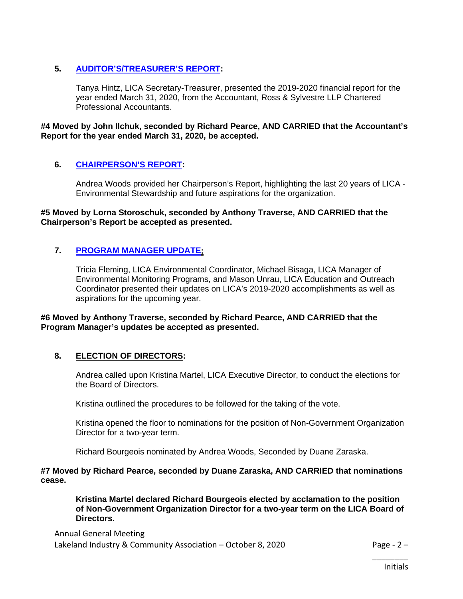# **5. [AUDITOR'S/TREASURER'S REPORT:](https://lica2.sharepoint.com/:b:/s/Office/ESiKOC7JTdVFjxhXND923ewB-FwL3BzdpjXdSnL8VuGVzg?e=08lhdA)**

Tanya Hintz, LICA Secretary-Treasurer, presented the 2019-2020 financial report for the year ended March 31, 2020, from the Accountant, Ross & Sylvestre LLP Chartered Professional Accountants.

**#4 Moved by John Ilchuk, seconded by Richard Pearce, AND CARRIED that the Accountant's Report for the year ended March 31, 2020, be accepted.**

## **6. [CHAIRPERSON'S REPORT:](https://lica2.sharepoint.com/:b:/s/Office/Efh2KmT_TqRChvYulsh7T-cBTLAqPBU1LAMn85Gq4SVhNg?e=Hs4ENN)**

Andrea Woods provided her Chairperson's Report, highlighting the last 20 years of LICA - Environmental Stewardship and future aspirations for the organization.

#### **#5 Moved by Lorna Storoschuk, seconded by Anthony Traverse, AND CARRIED that the Chairperson's Report be accepted as presented.**

## **7. [PROGRAM MANAGER UPDATE:](https://lica2.sharepoint.com/:b:/s/Office/Eb7eDMeC4mFOmUtvCFcxl2wBAvWeNCGPaLO0EwlbgDbDGg?e=v1mqGy)**

Tricia Fleming, LICA Environmental Coordinator, Michael Bisaga, LICA Manager of Environmental Monitoring Programs, and Mason Unrau, LICA Education and Outreach Coordinator presented their updates on LICA's 2019-2020 accomplishments as well as aspirations for the upcoming year.

#### **#6 Moved by Anthony Traverse, seconded by Richard Pearce, AND CARRIED that the Program Manager's updates be accepted as presented.**

## **8. ELECTION OF DIRECTORS:**

Andrea called upon Kristina Martel, LICA Executive Director, to conduct the elections for the Board of Directors.

Kristina outlined the procedures to be followed for the taking of the vote.

Kristina opened the floor to nominations for the position of Non-Government Organization Director for a two-year term.

Richard Bourgeois nominated by Andrea Woods, Seconded by Duane Zaraska.

#### **#7 Moved by Richard Pearce, seconded by Duane Zaraska, AND CARRIED that nominations cease.**

**Kristina Martel declared Richard Bourgeois elected by acclamation to the position of Non-Government Organization Director for a two-year term on the LICA Board of Directors.**

Annual General Meeting Lakeland Industry & Community Association – October 8, 2020 Page - 2 –